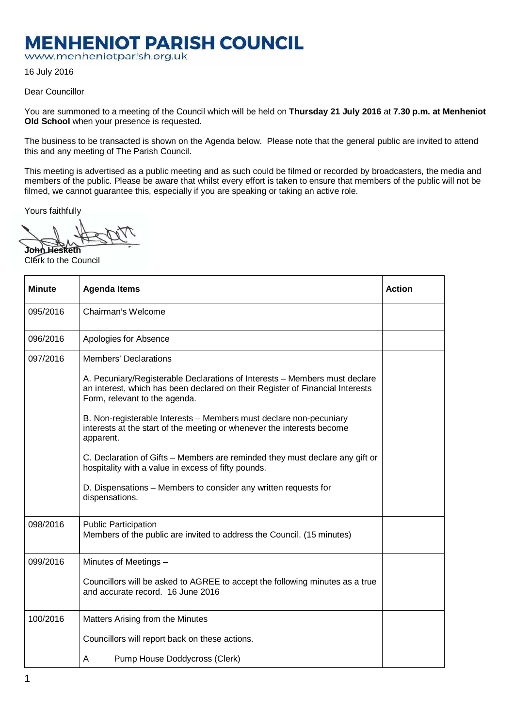## **MENHENIOT PARISH COUNCIL**

www.menheniotparish.org.uk

16 July 2016

Dear Councillor

You are summoned to a meeting of the Council which will be held on **Thursday 21 July 2016** at **7.30 p.m. at Menheniot Old School** when your presence is requested.

The business to be transacted is shown on the Agenda below. Please note that the general public are invited to attend this and any meeting of The Parish Council.

This meeting is advertised as a public meeting and as such could be filmed or recorded by broadcasters, the media and members of the public. Please be aware that whilst every effort is taken to ensure that members of the public will not be filmed, we cannot guarantee this, especially if you are speaking or taking an active role.

Yours faithfully

**John Hesketh**  Clerk to the Council

| <b>Minute</b> | <b>Agenda Items</b>                                                                                                                                                                          | <b>Action</b> |
|---------------|----------------------------------------------------------------------------------------------------------------------------------------------------------------------------------------------|---------------|
| 095/2016      | Chairman's Welcome                                                                                                                                                                           |               |
| 096/2016      | Apologies for Absence                                                                                                                                                                        |               |
| 097/2016      | <b>Members' Declarations</b>                                                                                                                                                                 |               |
|               | A. Pecuniary/Registerable Declarations of Interests - Members must declare<br>an interest, which has been declared on their Register of Financial Interests<br>Form, relevant to the agenda. |               |
|               | B. Non-registerable Interests - Members must declare non-pecuniary<br>interests at the start of the meeting or whenever the interests become<br>apparent.                                    |               |
|               | C. Declaration of Gifts - Members are reminded they must declare any gift or<br>hospitality with a value in excess of fifty pounds.                                                          |               |
|               | D. Dispensations – Members to consider any written requests for<br>dispensations.                                                                                                            |               |
| 098/2016      | <b>Public Participation</b><br>Members of the public are invited to address the Council. (15 minutes)                                                                                        |               |
| 099/2016      | Minutes of Meetings -                                                                                                                                                                        |               |
|               | Councillors will be asked to AGREE to accept the following minutes as a true<br>and accurate record. 16 June 2016                                                                            |               |
| 100/2016      | Matters Arising from the Minutes                                                                                                                                                             |               |
|               | Councillors will report back on these actions.                                                                                                                                               |               |
|               | Pump House Doddycross (Clerk)<br>A                                                                                                                                                           |               |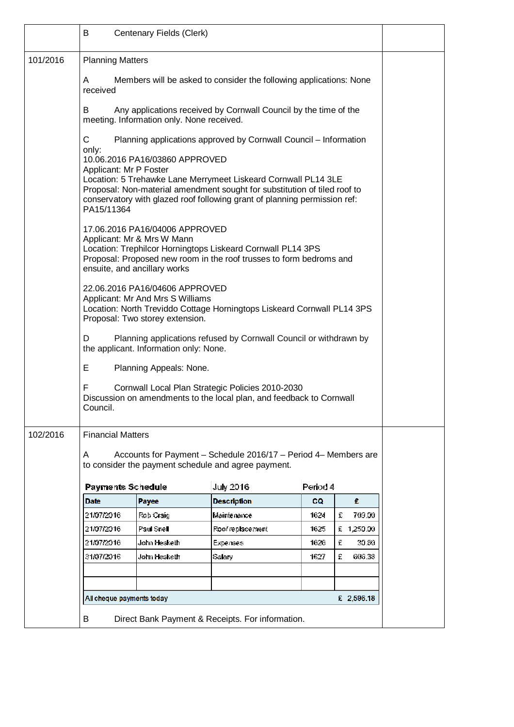|          | В                                                                                                                                                                                                                                                                                                           | Centenary Fields (Clerk)                |                                                                  |           |             |  |  |
|----------|-------------------------------------------------------------------------------------------------------------------------------------------------------------------------------------------------------------------------------------------------------------------------------------------------------------|-----------------------------------------|------------------------------------------------------------------|-----------|-------------|--|--|
| 101/2016 | <b>Planning Matters</b>                                                                                                                                                                                                                                                                                     |                                         |                                                                  |           |             |  |  |
|          | Members will be asked to consider the following applications: None<br>A<br>received                                                                                                                                                                                                                         |                                         |                                                                  |           |             |  |  |
|          | Any applications received by Cornwall Council by the time of the<br>B<br>meeting. Information only. None received.                                                                                                                                                                                          |                                         |                                                                  |           |             |  |  |
|          | С                                                                                                                                                                                                                                                                                                           |                                         | Planning applications approved by Cornwall Council - Information |           |             |  |  |
|          | only:<br>10.06.2016 PA16/03860 APPROVED<br>Applicant: Mr P Foster<br>Location: 5 Trehawke Lane Merrymeet Liskeard Cornwall PL14 3LE<br>Proposal: Non-material amendment sought for substitution of tiled roof to<br>conservatory with glazed roof following grant of planning permission ref:<br>PA15/11364 |                                         |                                                                  |           |             |  |  |
|          | 17.06.2016 PA16/04006 APPROVED<br>Applicant: Mr & Mrs W Mann<br>Location: Trephilcor Horningtops Liskeard Cornwall PL14 3PS<br>Proposal: Proposed new room in the roof trusses to form bedroms and<br>ensuite, and ancillary works                                                                          |                                         |                                                                  |           |             |  |  |
|          | 22.06.2016 PA16/04606 APPROVED<br>Applicant: Mr And Mrs S Williams<br>Location: North Treviddo Cottage Horningtops Liskeard Cornwall PL14 3PS<br>Proposal: Two storey extension.                                                                                                                            |                                         |                                                                  |           |             |  |  |
|          | Planning applications refused by Cornwall Council or withdrawn by<br>D<br>the applicant. Information only: None.                                                                                                                                                                                            |                                         |                                                                  |           |             |  |  |
|          | Е<br>Planning Appeals: None.                                                                                                                                                                                                                                                                                |                                         |                                                                  |           |             |  |  |
|          | F<br>Cornwall Local Plan Strategic Policies 2010-2030<br>Discussion on amendments to the local plan, and feedback to Cornwall<br>Council.                                                                                                                                                                   |                                         |                                                                  |           |             |  |  |
| 102/2016 | <b>Financial Matters</b>                                                                                                                                                                                                                                                                                    |                                         |                                                                  |           |             |  |  |
|          | Accounts for Payment - Schedule 2016/17 - Period 4- Members are<br>A<br>to consider the payment schedule and agree payment.                                                                                                                                                                                 |                                         |                                                                  |           |             |  |  |
|          | <b>Payments Schedule</b>                                                                                                                                                                                                                                                                                    |                                         | <b>July 2016</b>                                                 | Period 4  |             |  |  |
|          | <b>Date</b>                                                                                                                                                                                                                                                                                                 | Payee                                   | <b>Description</b>                                               | <b>CQ</b> | £.          |  |  |
|          | 21/07/2016                                                                                                                                                                                                                                                                                                  | Rob Craig                               | Maintenance                                                      | 1624      | £<br>709.00 |  |  |
|          | 21/07/2016                                                                                                                                                                                                                                                                                                  | Paul Snell                              | Roof replacement                                                 | 1625      | £ 1,250.00  |  |  |
|          | 21/07/2016                                                                                                                                                                                                                                                                                                  | John Hesketh                            | Expenses                                                         | 1626      | £<br>30.30  |  |  |
|          | 31/07/2016                                                                                                                                                                                                                                                                                                  | John Hesketh                            | Salary                                                           | 1627      | £<br>636.38 |  |  |
|          |                                                                                                                                                                                                                                                                                                             |                                         |                                                                  |           |             |  |  |
|          |                                                                                                                                                                                                                                                                                                             |                                         |                                                                  |           |             |  |  |
|          |                                                                                                                                                                                                                                                                                                             | All cheque payments today<br>£ 2,596.18 |                                                                  |           |             |  |  |
|          | B                                                                                                                                                                                                                                                                                                           |                                         | Direct Bank Payment & Receipts. For information.                 |           |             |  |  |